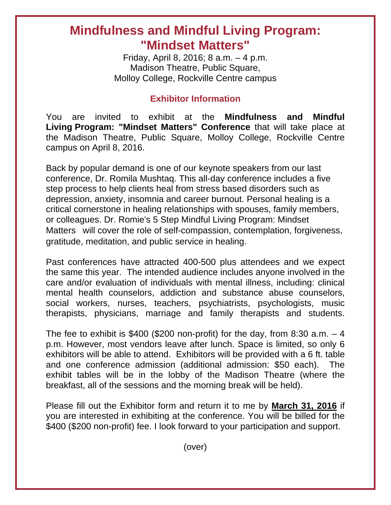## **Mindfulness and Mindful Living Program: "Mindset Matters"**

Friday, April 8, 2016; 8 a.m. – 4 p.m. Madison Theatre, Public Square, Molloy College, Rockville Centre campus

## **Exhibitor Information**

You are invited to exhibit at the **Mindfulness and Mindful Living Program: "Mindset Matters" Conference** that will take place at the Madison Theatre, Public Square, Molloy College, Rockville Centre campus on April 8, 2016.

Back by popular demand is one of our keynote speakers from our last conference, Dr. Romila Mushtaq. This all-day conference includes a five step process to help clients heal from stress based disorders such as depression, anxiety, insomnia and career burnout. Personal healing is a critical cornerstone in healing relationships with spouses, family members, or colleagues. Dr. Romie's 5 Step Mindful Living Program: Mindset Matters will cover the role of self-compassion, contemplation, forgiveness, gratitude, meditation, and public service in healing.

Past conferences have attracted 400-500 plus attendees and we expect the same this year. The intended audience includes anyone involved in the care and/or evaluation of individuals with mental illness, including: clinical mental health counselors, addiction and substance abuse counselors, social workers, nurses, teachers, psychiatrists, psychologists, music therapists, physicians, marriage and family therapists and students.

The fee to exhibit is \$400 (\$200 non-profit) for the day, from 8:30 a.m.  $-4$ p.m. However, most vendors leave after lunch. Space is limited, so only 6 exhibitors will be able to attend. Exhibitors will be provided with a 6 ft. table and one conference admission (additional admission: \$50 each). The exhibit tables will be in the lobby of the Madison Theatre (where the breakfast, all of the sessions and the morning break will be held).

Please fill out the Exhibitor form and return it to me by **March 31, 2016** if you are interested in exhibiting at the conference. You will be billed for the \$400 (\$200 non-profit) fee. I look forward to your participation and support.

(over)